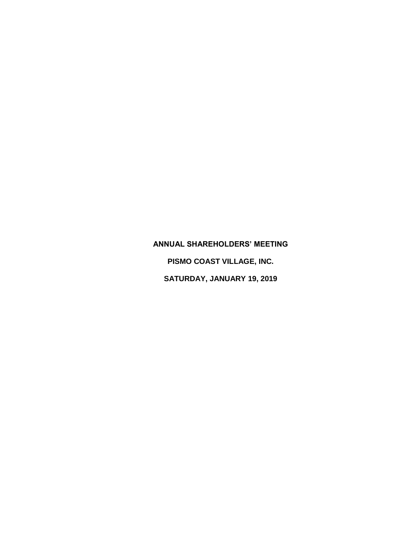## **ANNUAL SHAREHOLDERS' MEETING**

**PISMO COAST VILLAGE, INC.**

**SATURDAY, JANUARY 19, 2019**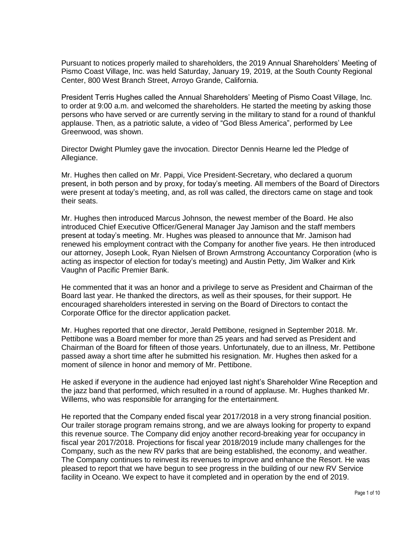Pursuant to notices properly mailed to shareholders, the 2019 Annual Shareholders' Meeting of Pismo Coast Village, Inc. was held Saturday, January 19, 2019, at the South County Regional Center, 800 West Branch Street, Arroyo Grande, California.

President Terris Hughes called the Annual Shareholders' Meeting of Pismo Coast Village, Inc. to order at 9:00 a.m. and welcomed the shareholders. He started the meeting by asking those persons who have served or are currently serving in the military to stand for a round of thankful applause. Then, as a patriotic salute, a video of "God Bless America", performed by Lee Greenwood, was shown.

Director Dwight Plumley gave the invocation. Director Dennis Hearne led the Pledge of Allegiance.

Mr. Hughes then called on Mr. Pappi, Vice President-Secretary, who declared a quorum present, in both person and by proxy, for today's meeting. All members of the Board of Directors were present at today's meeting, and, as roll was called, the directors came on stage and took their seats.

Mr. Hughes then introduced Marcus Johnson, the newest member of the Board. He also introduced Chief Executive Officer/General Manager Jay Jamison and the staff members present at today's meeting. Mr. Hughes was pleased to announce that Mr. Jamison had renewed his employment contract with the Company for another five years. He then introduced our attorney, Joseph Look, Ryan Nielsen of Brown Armstrong Accountancy Corporation (who is acting as inspector of election for today's meeting) and Austin Petty, Jim Walker and Kirk Vaughn of Pacific Premier Bank.

He commented that it was an honor and a privilege to serve as President and Chairman of the Board last year. He thanked the directors, as well as their spouses, for their support. He encouraged shareholders interested in serving on the Board of Directors to contact the Corporate Office for the director application packet.

Mr. Hughes reported that one director, Jerald Pettibone, resigned in September 2018. Mr. Pettibone was a Board member for more than 25 years and had served as President and Chairman of the Board for fifteen of those years. Unfortunately, due to an illness, Mr. Pettibone passed away a short time after he submitted his resignation. Mr. Hughes then asked for a moment of silence in honor and memory of Mr. Pettibone.

He asked if everyone in the audience had enjoyed last night's Shareholder Wine Reception and the jazz band that performed, which resulted in a round of applause. Mr. Hughes thanked Mr. Willems, who was responsible for arranging for the entertainment.

He reported that the Company ended fiscal year 2017/2018 in a very strong financial position. Our trailer storage program remains strong, and we are always looking for property to expand this revenue source. The Company did enjoy another record-breaking year for occupancy in fiscal year 2017/2018. Projections for fiscal year 2018/2019 include many challenges for the Company, such as the new RV parks that are being established, the economy, and weather. The Company continues to reinvest its revenues to improve and enhance the Resort. He was pleased to report that we have begun to see progress in the building of our new RV Service facility in Oceano. We expect to have it completed and in operation by the end of 2019.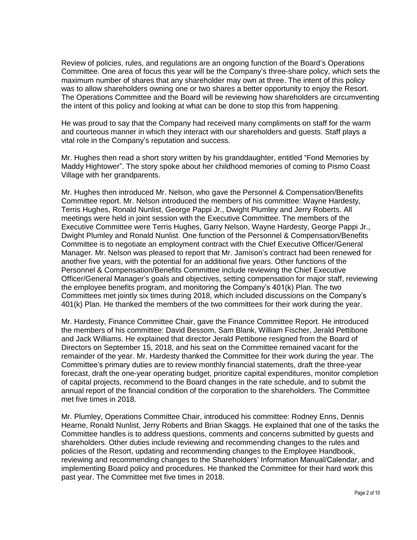Review of policies, rules, and regulations are an ongoing function of the Board's Operations Committee. One area of focus this year will be the Company's three-share policy, which sets the maximum number of shares that any shareholder may own at three. The intent of this policy was to allow shareholders owning one or two shares a better opportunity to enjoy the Resort. The Operations Committee and the Board will be reviewing how shareholders are circumventing the intent of this policy and looking at what can be done to stop this from happening.

He was proud to say that the Company had received many compliments on staff for the warm and courteous manner in which they interact with our shareholders and guests. Staff plays a vital role in the Company's reputation and success.

Mr. Hughes then read a short story written by his granddaughter, entitled "Fond Memories by Maddy Hightower". The story spoke about her childhood memories of coming to Pismo Coast Village with her grandparents.

Mr. Hughes then introduced Mr. Nelson, who gave the Personnel & Compensation/Benefits Committee report. Mr. Nelson introduced the members of his committee: Wayne Hardesty, Terris Hughes, Ronald Nunlist, George Pappi Jr., Dwight Plumley and Jerry Roberts. All meetings were held in joint session with the Executive Committee. The members of the Executive Committee were Terris Hughes, Garry Nelson, Wayne Hardesty, George Pappi Jr., Dwight Plumley and Ronald Nunlist. One function of the Personnel & Compensation/Benefits Committee is to negotiate an employment contract with the Chief Executive Officer/General Manager. Mr. Nelson was pleased to report that Mr. Jamison's contract had been renewed for another five years, with the potential for an additional five years. Other functions of the Personnel & Compensation/Benefits Committee include reviewing the Chief Executive Officer/General Manager's goals and objectives, setting compensation for major staff, reviewing the employee benefits program, and monitoring the Company's 401(k) Plan. The two Committees met jointly six times during 2018, which included discussions on the Company's 401(k) Plan. He thanked the members of the two committees for their work during the year.

Mr. Hardesty, Finance Committee Chair, gave the Finance Committee Report. He introduced the members of his committee: David Bessom, Sam Blank, William Fischer, Jerald Pettibone and Jack Williams. He explained that director Jerald Pettibone resigned from the Board of Directors on September 15, 2018, and his seat on the Committee remained vacant for the remainder of the year. Mr. Hardesty thanked the Committee for their work during the year. The Committee's primary duties are to review monthly financial statements, draft the three-year forecast, draft the one-year operating budget, prioritize capital expenditures, monitor completion of capital projects, recommend to the Board changes in the rate schedule, and to submit the annual report of the financial condition of the corporation to the shareholders. The Committee met five times in 2018.

Mr. Plumley, Operations Committee Chair, introduced his committee: Rodney Enns, Dennis Hearne, Ronald Nunlist, Jerry Roberts and Brian Skaggs. He explained that one of the tasks the Committee handles is to address questions, comments and concerns submitted by guests and shareholders. Other duties include reviewing and recommending changes to the rules and policies of the Resort, updating and recommending changes to the Employee Handbook, reviewing and recommending changes to the Shareholders' Information Manual/Calendar, and implementing Board policy and procedures. He thanked the Committee for their hard work this past year. The Committee met five times in 2018.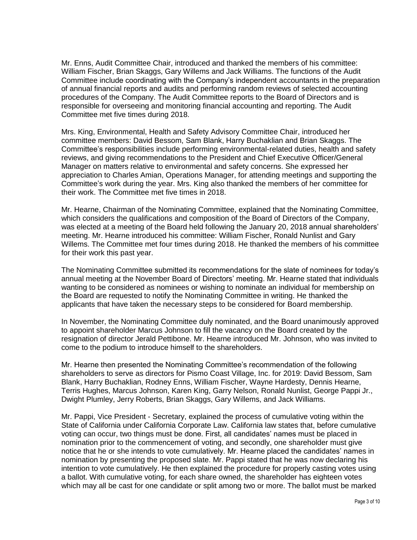Mr. Enns, Audit Committee Chair, introduced and thanked the members of his committee: William Fischer, Brian Skaggs, Gary Willems and Jack Williams. The functions of the Audit Committee include coordinating with the Company's independent accountants in the preparation of annual financial reports and audits and performing random reviews of selected accounting procedures of the Company. The Audit Committee reports to the Board of Directors and is responsible for overseeing and monitoring financial accounting and reporting. The Audit Committee met five times during 2018.

Mrs. King, Environmental, Health and Safety Advisory Committee Chair, introduced her committee members: David Bessom, Sam Blank, Harry Buchaklian and Brian Skaggs. The Committee's responsibilities include performing environmental-related duties, health and safety reviews, and giving recommendations to the President and Chief Executive Officer/General Manager on matters relative to environmental and safety concerns. She expressed her appreciation to Charles Amian, Operations Manager, for attending meetings and supporting the Committee's work during the year. Mrs. King also thanked the members of her committee for their work. The Committee met five times in 2018.

Mr. Hearne, Chairman of the Nominating Committee, explained that the Nominating Committee, which considers the qualifications and composition of the Board of Directors of the Company, was elected at a meeting of the Board held following the January 20, 2018 annual shareholders' meeting. Mr. Hearne introduced his committee: William Fischer, Ronald Nunlist and Gary Willems. The Committee met four times during 2018. He thanked the members of his committee for their work this past year.

The Nominating Committee submitted its recommendations for the slate of nominees for today's annual meeting at the November Board of Directors' meeting. Mr. Hearne stated that individuals wanting to be considered as nominees or wishing to nominate an individual for membership on the Board are requested to notify the Nominating Committee in writing. He thanked the applicants that have taken the necessary steps to be considered for Board membership.

In November, the Nominating Committee duly nominated, and the Board unanimously approved to appoint shareholder Marcus Johnson to fill the vacancy on the Board created by the resignation of director Jerald Pettibone. Mr. Hearne introduced Mr. Johnson, who was invited to come to the podium to introduce himself to the shareholders.

Mr. Hearne then presented the Nominating Committee's recommendation of the following shareholders to serve as directors for Pismo Coast Village, Inc. for 2019: David Bessom, Sam Blank, Harry Buchaklian, Rodney Enns, William Fischer, Wayne Hardesty, Dennis Hearne, Terris Hughes, Marcus Johnson, Karen King, Garry Nelson, Ronald Nunlist, George Pappi Jr., Dwight Plumley, Jerry Roberts, Brian Skaggs, Gary Willems, and Jack Williams.

Mr. Pappi, Vice President - Secretary, explained the process of cumulative voting within the State of California under California Corporate Law. California law states that, before cumulative voting can occur, two things must be done. First, all candidates' names must be placed in nomination prior to the commencement of voting, and secondly, one shareholder must give notice that he or she intends to vote cumulatively. Mr. Hearne placed the candidates' names in nomination by presenting the proposed slate. Mr. Pappi stated that he was now declaring his intention to vote cumulatively. He then explained the procedure for properly casting votes using a ballot. With cumulative voting, for each share owned, the shareholder has eighteen votes which may all be cast for one candidate or split among two or more. The ballot must be marked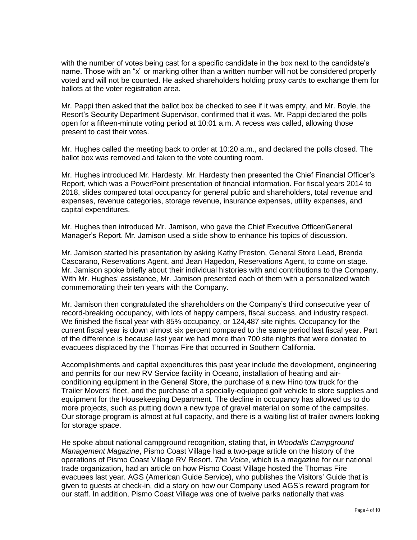with the number of votes being cast for a specific candidate in the box next to the candidate's name. Those with an "x" or marking other than a written number will not be considered properly voted and will not be counted. He asked shareholders holding proxy cards to exchange them for ballots at the voter registration area.

Mr. Pappi then asked that the ballot box be checked to see if it was empty, and Mr. Boyle, the Resort's Security Department Supervisor, confirmed that it was. Mr. Pappi declared the polls open for a fifteen-minute voting period at 10:01 a.m. A recess was called, allowing those present to cast their votes.

Mr. Hughes called the meeting back to order at 10:20 a.m., and declared the polls closed. The ballot box was removed and taken to the vote counting room.

Mr. Hughes introduced Mr. Hardesty. Mr. Hardesty then presented the Chief Financial Officer's Report, which was a PowerPoint presentation of financial information. For fiscal years 2014 to 2018, slides compared total occupancy for general public and shareholders, total revenue and expenses, revenue categories, storage revenue, insurance expenses, utility expenses, and capital expenditures.

Mr. Hughes then introduced Mr. Jamison, who gave the Chief Executive Officer/General Manager's Report. Mr. Jamison used a slide show to enhance his topics of discussion.

Mr. Jamison started his presentation by asking Kathy Preston, General Store Lead, Brenda Cascarano, Reservations Agent, and Jean Hagedon, Reservations Agent, to come on stage. Mr. Jamison spoke briefly about their individual histories with and contributions to the Company. With Mr. Hughes' assistance, Mr. Jamison presented each of them with a personalized watch commemorating their ten years with the Company.

Mr. Jamison then congratulated the shareholders on the Company's third consecutive year of record-breaking occupancy, with lots of happy campers, fiscal success, and industry respect. We finished the fiscal year with 85% occupancy, or 124,487 site nights. Occupancy for the current fiscal year is down almost six percent compared to the same period last fiscal year. Part of the difference is because last year we had more than 700 site nights that were donated to evacuees displaced by the Thomas Fire that occurred in Southern California.

Accomplishments and capital expenditures this past year include the development, engineering and permits for our new RV Service facility in Oceano, installation of heating and airconditioning equipment in the General Store, the purchase of a new Hino tow truck for the Trailer Movers' fleet, and the purchase of a specially-equipped golf vehicle to store supplies and equipment for the Housekeeping Department. The decline in occupancy has allowed us to do more projects, such as putting down a new type of gravel material on some of the campsites. Our storage program is almost at full capacity, and there is a waiting list of trailer owners looking for storage space.

He spoke about national campground recognition, stating that, in *Woodalls Campground Management Magazine*, Pismo Coast Village had a two-page article on the history of the operations of Pismo Coast Village RV Resort. *The Voice*, which is a magazine for our national trade organization, had an article on how Pismo Coast Village hosted the Thomas Fire evacuees last year. AGS (American Guide Service), who publishes the Visitors' Guide that is given to guests at check-in, did a story on how our Company used AGS's reward program for our staff. In addition, Pismo Coast Village was one of twelve parks nationally that was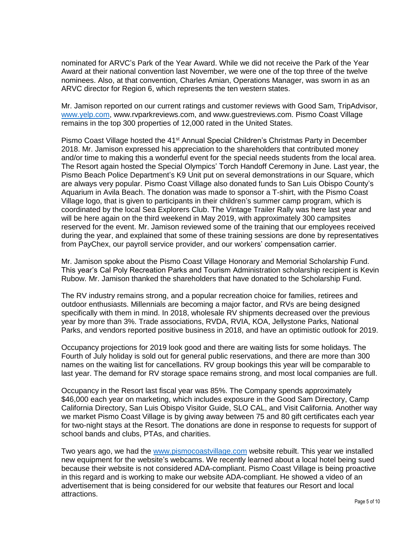nominated for ARVC's Park of the Year Award. While we did not receive the Park of the Year Award at their national convention last November, we were one of the top three of the twelve nominees. Also, at that convention, Charles Amian, Operations Manager, was sworn in as an ARVC director for Region 6, which represents the ten western states.

Mr. Jamison reported on our current ratings and customer reviews with Good Sam, TripAdvisor, [www.yelp.com,](http://www.yelp.com/) www.rvparkreviews.com, and www.guestreviews.com. Pismo Coast Village remains in the top 300 properties of 12,000 rated in the United States.

Pismo Coast Village hosted the 41<sup>st</sup> Annual Special Children's Christmas Party in December 2018. Mr. Jamison expressed his appreciation to the shareholders that contributed money and/or time to making this a wonderful event for the special needs students from the local area. The Resort again hosted the Special Olympics' Torch Handoff Ceremony in June. Last year, the Pismo Beach Police Department's K9 Unit put on several demonstrations in our Square, which are always very popular. Pismo Coast Village also donated funds to San Luis Obispo County's Aquarium in Avila Beach. The donation was made to sponsor a T-shirt, with the Pismo Coast Village logo, that is given to participants in their children's summer camp program, which is coordinated by the local Sea Explorers Club. The Vintage Trailer Rally was here last year and will be here again on the third weekend in May 2019, with approximately 300 campsites reserved for the event. Mr. Jamison reviewed some of the training that our employees received during the year, and explained that some of these training sessions are done by representatives from PayChex, our payroll service provider, and our workers' compensation carrier.

Mr. Jamison spoke about the Pismo Coast Village Honorary and Memorial Scholarship Fund. This year's Cal Poly Recreation Parks and Tourism Administration scholarship recipient is Kevin Rubow. Mr. Jamison thanked the shareholders that have donated to the Scholarship Fund.

The RV industry remains strong, and a popular recreation choice for families, retirees and outdoor enthusiasts. Millennials are becoming a major factor, and RVs are being designed specifically with them in mind. In 2018, wholesale RV shipments decreased over the previous year by more than 3%. Trade associations, RVDA, RVIA, KOA, Jellystone Parks, National Parks, and vendors reported positive business in 2018, and have an optimistic outlook for 2019.

Occupancy projections for 2019 look good and there are waiting lists for some holidays. The Fourth of July holiday is sold out for general public reservations, and there are more than 300 names on the waiting list for cancellations. RV group bookings this year will be comparable to last year. The demand for RV storage space remains strong, and most local companies are full.

Occupancy in the Resort last fiscal year was 85%. The Company spends approximately \$46,000 each year on marketing, which includes exposure in the Good Sam Directory, Camp California Directory, San Luis Obispo Visitor Guide, SLO CAL, and Visit California. Another way we market Pismo Coast Village is by giving away between 75 and 80 gift certificates each year for two-night stays at the Resort. The donations are done in response to requests for support of school bands and clubs, PTAs, and charities.

Two years ago, we had the [www.pismocoastvillage.com](http://www.pismocoastvillage.com/) website rebuilt. This year we installed new equipment for the website's webcams. We recently learned about a local hotel being sued because their website is not considered ADA-compliant. Pismo Coast Village is being proactive in this regard and is working to make our website ADA-compliant. He showed a video of an advertisement that is being considered for our website that features our Resort and local attractions.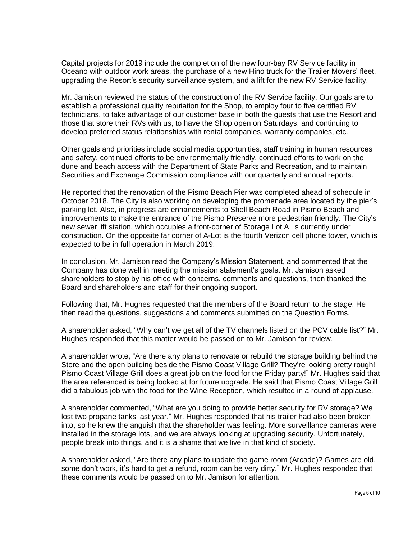Capital projects for 2019 include the completion of the new four-bay RV Service facility in Oceano with outdoor work areas, the purchase of a new Hino truck for the Trailer Movers' fleet, upgrading the Resort's security surveillance system, and a lift for the new RV Service facility.

Mr. Jamison reviewed the status of the construction of the RV Service facility. Our goals are to establish a professional quality reputation for the Shop, to employ four to five certified RV technicians, to take advantage of our customer base in both the guests that use the Resort and those that store their RVs with us, to have the Shop open on Saturdays, and continuing to develop preferred status relationships with rental companies, warranty companies, etc.

Other goals and priorities include social media opportunities, staff training in human resources and safety, continued efforts to be environmentally friendly, continued efforts to work on the dune and beach access with the Department of State Parks and Recreation, and to maintain Securities and Exchange Commission compliance with our quarterly and annual reports.

He reported that the renovation of the Pismo Beach Pier was completed ahead of schedule in October 2018. The City is also working on developing the promenade area located by the pier's parking lot. Also, in progress are enhancements to Shell Beach Road in Pismo Beach and improvements to make the entrance of the Pismo Preserve more pedestrian friendly. The City's new sewer lift station, which occupies a front-corner of Storage Lot A, is currently under construction. On the opposite far corner of A-Lot is the fourth Verizon cell phone tower, which is expected to be in full operation in March 2019.

In conclusion, Mr. Jamison read the Company's Mission Statement, and commented that the Company has done well in meeting the mission statement's goals. Mr. Jamison asked shareholders to stop by his office with concerns, comments and questions, then thanked the Board and shareholders and staff for their ongoing support.

Following that, Mr. Hughes requested that the members of the Board return to the stage. He then read the questions, suggestions and comments submitted on the Question Forms.

A shareholder asked, "Why can't we get all of the TV channels listed on the PCV cable list?" Mr. Hughes responded that this matter would be passed on to Mr. Jamison for review.

A shareholder wrote, "Are there any plans to renovate or rebuild the storage building behind the Store and the open building beside the Pismo Coast Village Grill? They're looking pretty rough! Pismo Coast Village Grill does a great job on the food for the Friday party!" Mr. Hughes said that the area referenced is being looked at for future upgrade. He said that Pismo Coast Village Grill did a fabulous job with the food for the Wine Reception, which resulted in a round of applause.

A shareholder commented, "What are you doing to provide better security for RV storage? We lost two propane tanks last year." Mr. Hughes responded that his trailer had also been broken into, so he knew the anguish that the shareholder was feeling. More surveillance cameras were installed in the storage lots, and we are always looking at upgrading security. Unfortunately, people break into things, and it is a shame that we live in that kind of society.

A shareholder asked, "Are there any plans to update the game room (Arcade)? Games are old, some don't work, it's hard to get a refund, room can be very dirty." Mr. Hughes responded that these comments would be passed on to Mr. Jamison for attention.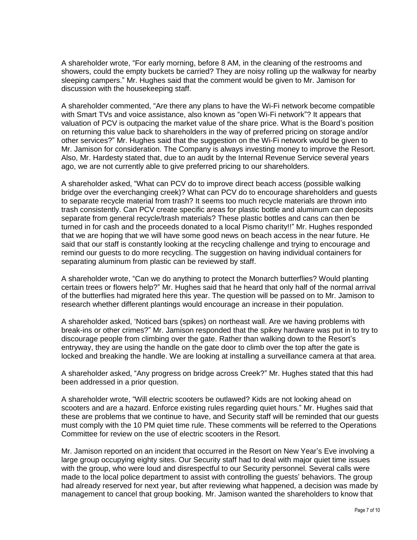A shareholder wrote, "For early morning, before 8 AM, in the cleaning of the restrooms and showers, could the empty buckets be carried? They are noisy rolling up the walkway for nearby sleeping campers." Mr. Hughes said that the comment would be given to Mr. Jamison for discussion with the housekeeping staff.

A shareholder commented, "Are there any plans to have the Wi-Fi network become compatible with Smart TVs and voice assistance, also known as "open Wi-Fi network"? It appears that valuation of PCV is outpacing the market value of the share price. What is the Board's position on returning this value back to shareholders in the way of preferred pricing on storage and/or other services?" Mr. Hughes said that the suggestion on the Wi-Fi network would be given to Mr. Jamison for consideration. The Company is always investing money to improve the Resort. Also, Mr. Hardesty stated that, due to an audit by the Internal Revenue Service several years ago, we are not currently able to give preferred pricing to our shareholders.

A shareholder asked, "What can PCV do to improve direct beach access (possible walking bridge over the everchanging creek)? What can PCV do to encourage shareholders and guests to separate recycle material from trash? It seems too much recycle materials are thrown into trash consistently. Can PCV create specific areas for plastic bottle and aluminum can deposits separate from general recycle/trash materials? These plastic bottles and cans can then be turned in for cash and the proceeds donated to a local Pismo charity!!" Mr. Hughes responded that we are hoping that we will have some good news on beach access in the near future. He said that our staff is constantly looking at the recycling challenge and trying to encourage and remind our guests to do more recycling. The suggestion on having individual containers for separating aluminum from plastic can be reviewed by staff.

A shareholder wrote, "Can we do anything to protect the Monarch butterflies? Would planting certain trees or flowers help?" Mr. Hughes said that he heard that only half of the normal arrival of the butterflies had migrated here this year. The question will be passed on to Mr. Jamison to research whether different plantings would encourage an increase in their population.

A shareholder asked, 'Noticed bars (spikes) on northeast wall. Are we having problems with break-ins or other crimes?" Mr. Jamison responded that the spikey hardware was put in to try to discourage people from climbing over the gate. Rather than walking down to the Resort's entryway, they are using the handle on the gate door to climb over the top after the gate is locked and breaking the handle. We are looking at installing a surveillance camera at that area.

A shareholder asked, "Any progress on bridge across Creek?" Mr. Hughes stated that this had been addressed in a prior question.

A shareholder wrote, "Will electric scooters be outlawed? Kids are not looking ahead on scooters and are a hazard. Enforce existing rules regarding quiet hours." Mr. Hughes said that these are problems that we continue to have, and Security staff will be reminded that our guests must comply with the 10 PM quiet time rule. These comments will be referred to the Operations Committee for review on the use of electric scooters in the Resort.

Mr. Jamison reported on an incident that occurred in the Resort on New Year's Eve involving a large group occupying eighty sites. Our Security staff had to deal with major quiet time issues with the group, who were loud and disrespectful to our Security personnel. Several calls were made to the local police department to assist with controlling the guests' behaviors. The group had already reserved for next year, but after reviewing what happened, a decision was made by management to cancel that group booking. Mr. Jamison wanted the shareholders to know that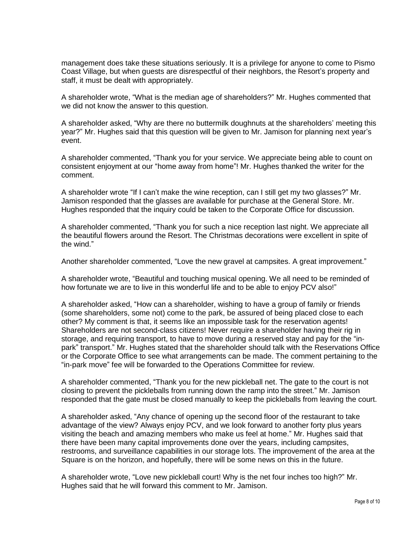management does take these situations seriously. It is a privilege for anyone to come to Pismo Coast Village, but when guests are disrespectful of their neighbors, the Resort's property and staff, it must be dealt with appropriately.

A shareholder wrote, "What is the median age of shareholders?" Mr. Hughes commented that we did not know the answer to this question.

A shareholder asked, "Why are there no buttermilk doughnuts at the shareholders' meeting this year?" Mr. Hughes said that this question will be given to Mr. Jamison for planning next year's event.

A shareholder commented, "Thank you for your service. We appreciate being able to count on consistent enjoyment at our "home away from home"! Mr. Hughes thanked the writer for the comment.

A shareholder wrote "If I can't make the wine reception, can I still get my two glasses?" Mr. Jamison responded that the glasses are available for purchase at the General Store. Mr. Hughes responded that the inquiry could be taken to the Corporate Office for discussion.

A shareholder commented, "Thank you for such a nice reception last night. We appreciate all the beautiful flowers around the Resort. The Christmas decorations were excellent in spite of the wind."

Another shareholder commented, "Love the new gravel at campsites. A great improvement."

A shareholder wrote, "Beautiful and touching musical opening. We all need to be reminded of how fortunate we are to live in this wonderful life and to be able to enjoy PCV also!"

A shareholder asked, "How can a shareholder, wishing to have a group of family or friends (some shareholders, some not) come to the park, be assured of being placed close to each other? My comment is that, it seems like an impossible task for the reservation agents! Shareholders are not second-class citizens! Never require a shareholder having their rig in storage, and requiring transport, to have to move during a reserved stay and pay for the "inpark" transport." Mr. Hughes stated that the shareholder should talk with the Reservations Office or the Corporate Office to see what arrangements can be made. The comment pertaining to the "in-park move" fee will be forwarded to the Operations Committee for review.

A shareholder commented, "Thank you for the new pickleball net. The gate to the court is not closing to prevent the pickleballs from running down the ramp into the street." Mr. Jamison responded that the gate must be closed manually to keep the pickleballs from leaving the court.

A shareholder asked, "Any chance of opening up the second floor of the restaurant to take advantage of the view? Always enjoy PCV, and we look forward to another forty plus years visiting the beach and amazing members who make us feel at home." Mr. Hughes said that there have been many capital improvements done over the years, including campsites, restrooms, and surveillance capabilities in our storage lots. The improvement of the area at the Square is on the horizon, and hopefully, there will be some news on this in the future.

A shareholder wrote, "Love new pickleball court! Why is the net four inches too high?" Mr. Hughes said that he will forward this comment to Mr. Jamison.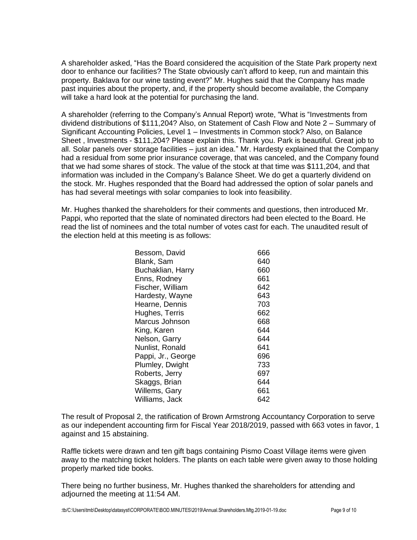A shareholder asked, "Has the Board considered the acquisition of the State Park property next door to enhance our facilities? The State obviously can't afford to keep, run and maintain this property. Baklava for our wine tasting event?" Mr. Hughes said that the Company has made past inquiries about the property, and, if the property should become available, the Company will take a hard look at the potential for purchasing the land.

A shareholder (referring to the Company's Annual Report) wrote, "What is "Investments from dividend distributions of \$111,204? Also, on Statement of Cash Flow and Note 2 – Summary of Significant Accounting Policies, Level 1 – Investments in Common stock? Also, on Balance Sheet , Investments - \$111,204? Please explain this. Thank you. Park is beautiful. Great job to all. Solar panels over storage facilities – just an idea." Mr. Hardesty explained that the Company had a residual from some prior insurance coverage, that was canceled, and the Company found that we had some shares of stock. The value of the stock at that time was \$111,204, and that information was included in the Company's Balance Sheet. We do get a quarterly dividend on the stock. Mr. Hughes responded that the Board had addressed the option of solar panels and has had several meetings with solar companies to look into feasibility.

Mr. Hughes thanked the shareholders for their comments and questions, then introduced Mr. Pappi, who reported that the slate of nominated directors had been elected to the Board. He read the list of nominees and the total number of votes cast for each. The unaudited result of the election held at this meeting is as follows:

| Bessom, David      | 666 |
|--------------------|-----|
| Blank, Sam         | 640 |
| Buchaklian, Harry  | 660 |
| Enns, Rodney       | 661 |
| Fischer, William   | 642 |
| Hardesty, Wayne    | 643 |
| Hearne, Dennis     | 703 |
| Hughes, Terris     | 662 |
| Marcus Johnson     | 668 |
| King, Karen        | 644 |
| Nelson, Garry      | 644 |
| Nunlist, Ronald    | 641 |
| Pappi, Jr., George | 696 |
| Plumley, Dwight    | 733 |
| Roberts, Jerry     | 697 |
| Skaggs, Brian      | 644 |
| Willems, Gary      | 661 |
| Williams, Jack     | 642 |

The result of Proposal 2, the ratification of Brown Armstrong Accountancy Corporation to serve as our independent accounting firm for Fiscal Year 2018/2019, passed with 663 votes in favor, 1 against and 15 abstaining.

Raffle tickets were drawn and ten gift bags containing Pismo Coast Village items were given away to the matching ticket holders. The plants on each table were given away to those holding properly marked tide books.

There being no further business, Mr. Hughes thanked the shareholders for attending and adjourned the meeting at 11:54 AM.